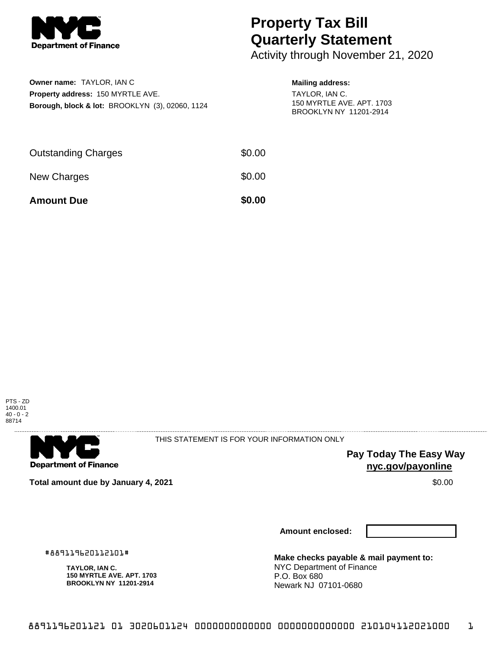

## **Property Tax Bill Quarterly Statement**

Activity through November 21, 2020

| Owner name: TAYLOR. IAN C                                  |
|------------------------------------------------------------|
| <b>Property address: 150 MYRTLE AVE.</b>                   |
| <b>Borough, block &amp; lot: BROOKLYN (3), 02060, 1124</b> |

## **Mailing address:**

TAYLOR, IAN C. 150 MYRTLE AVE. APT. 1703 BROOKLYN NY 11201-2914

| <b>Amount Due</b>          | \$0.00 |
|----------------------------|--------|
| New Charges                | \$0.00 |
| <b>Outstanding Charges</b> | \$0.00 |





THIS STATEMENT IS FOR YOUR INFORMATION ONLY

**Pay Today The Easy Way nyc.gov/payonline**

**Total amount due by January 4, 2021 \$0.00** \$0.00

**Amount enclosed:**

#889119620112101#

**TAYLOR, IAN C. 150 MYRTLE AVE. APT. 1703 BROOKLYN NY 11201-2914**

**Make checks payable & mail payment to:** NYC Department of Finance P.O. Box 680 Newark NJ 07101-0680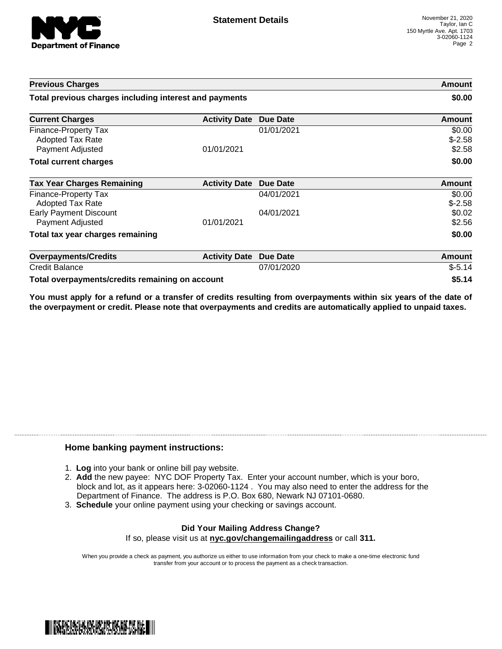

| <b>Previous Charges</b>                                             |                      |                 | Amount                       |
|---------------------------------------------------------------------|----------------------|-----------------|------------------------------|
| Total previous charges including interest and payments              |                      |                 | \$0.00                       |
| <b>Current Charges</b>                                              | <b>Activity Date</b> | <b>Due Date</b> | Amount                       |
| Finance-Property Tax<br><b>Adopted Tax Rate</b><br>Payment Adjusted | 01/01/2021           | 01/01/2021      | \$0.00<br>$$-2.58$<br>\$2.58 |
| <b>Total current charges</b>                                        |                      |                 | \$0.00                       |
| <b>Tax Year Charges Remaining</b>                                   | <b>Activity Date</b> | <b>Due Date</b> | <b>Amount</b>                |
| Finance-Property Tax<br>Adopted Tax Rate                            |                      | 04/01/2021      | \$0.00<br>$$-2.58$           |
| <b>Early Payment Discount</b><br>Payment Adjusted                   | 01/01/2021           | 04/01/2021      | \$0.02<br>\$2.56             |
| Total tax year charges remaining                                    |                      |                 | \$0.00                       |
| <b>Overpayments/Credits</b>                                         | <b>Activity Date</b> | <b>Due Date</b> | Amount                       |
| <b>Credit Balance</b>                                               |                      | 07/01/2020      | $$-5.14$                     |
| Total overpayments/credits remaining on account                     |                      |                 | \$5.14                       |

You must apply for a refund or a transfer of credits resulting from overpayments within six years of the date of **the overpayment or credit. Please note that overpayments and credits are automatically applied to unpaid taxes.**

## **Home banking payment instructions:**

- 1. **Log** into your bank or online bill pay website.
- 2. **Add** the new payee: NYC DOF Property Tax. Enter your account number, which is your boro, block and lot, as it appears here: 3-02060-1124 . You may also need to enter the address for the Department of Finance. The address is P.O. Box 680, Newark NJ 07101-0680.
- 3. **Schedule** your online payment using your checking or savings account.

## **Did Your Mailing Address Change?** If so, please visit us at **nyc.gov/changemailingaddress** or call **311.**

When you provide a check as payment, you authorize us either to use information from your check to make a one-time electronic fund transfer from your account or to process the payment as a check transaction.